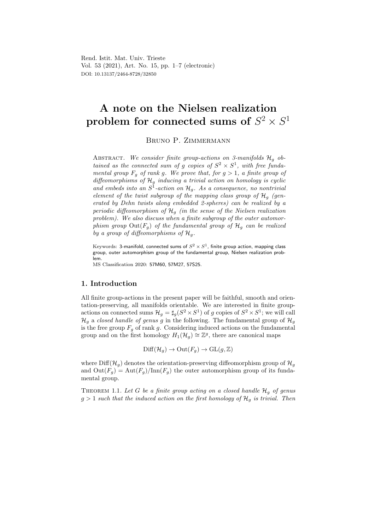Rend. Istit. Mat. Univ. Trieste Vol. 53 (2021), Art. No. 15, pp. 1–7 (electronic) DOI: 10.13137/2464-8728/32850

# A note on the Nielsen realization problem for connected sums of  $S^2 \times S^1$

Bruno P. Zimmermann

ABSTRACT. We consider finite group-actions on 3-manifolds  $\mathcal{H}_q$  obtained as the connected sum of g copies of  $S^2 \times S^1$ , with free fundamental group  $F_g$  of rank g. We prove that, for  $g > 1$ , a finite group of diffeomorphisms of  $\mathcal{H}_g$  inducing a trivial action on homology is cyclic and embeds into an  $S^1$ -action on  $\mathcal{H}_g$ . As a consequence, no nontrivial element of the twist subgroup of the mapping class group of  $\mathcal{H}_q$  (generated by Dehn twists along embedded 2-spheres) can be realized by a periodic diffeomorphism of  $\mathcal{H}_q$  (in the sense of the Nielsen realization problem). We also discuss when a finite subgroup of the outer automorphism group  $Out(F_g)$  of the fundamental group of  $\mathcal{H}_g$  can be realized by a group of diffeomorphisms of  $\mathcal{H}_q$ .

Keywords: 3-manifold, connected sums of  $S^2\times S^1$ , finite group action, mapping class group, outer automorphism group of the fundamental group, Nielsen realization problem.

MS Classification 2020: 57M60, 57M27, 57S25.

## 1. Introduction

All finite group-actions in the present paper will be faithful, smooth and orientation-preserving, all manifolds orientable. We are interested in finite groupactions on connected sums  $\mathcal{H}_g = \sharp_g (S^2 \times S^1)$  of g copies of  $S^2 \times S^1$ ; we will call  $\mathcal{H}_g$  a closed handle of genus g in the following. The fundamental group of  $\mathcal{H}_g$ is the free group  $F_q$  of rank g. Considering induced actions on the fundamental group and on the first homology  $H_1(\mathcal{H}_g) \cong \mathbb{Z}^g$ , there are canonical maps

$$
\mathrm{Diff}(\mathcal{H}_g) \to \mathrm{Out}(F_g) \to \mathrm{GL}(g,\mathbb{Z})
$$

where Diff( $\mathcal{H}_q$ ) denotes the orientation-preserving diffeomorphism group of  $\mathcal{H}_q$ and  $\text{Out}(F_q) = \text{Aut}(F_q)/\text{Inn}(F_q)$  the outer automorphism group of its fundamental group.

THEOREM 1.1. Let G be a finite group acting on a closed handle  $\mathcal{H}_q$  of genus  $g > 1$  such that the induced action on the first homology of  $\mathcal{H}_q$  is trivial. Then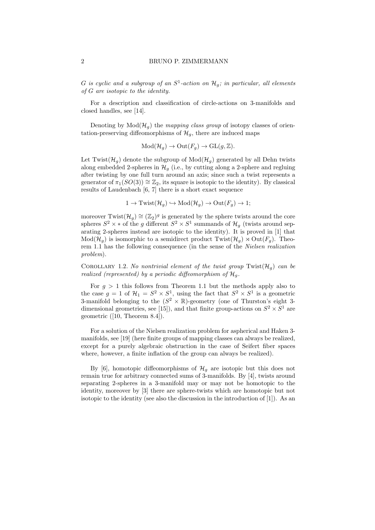#### 2 BRUNO P. ZIMMERMANN

G is cyclic and a subgroup of an  $S^1$ -action on  $\mathcal{H}_g$ ; in particular, all elements of G are isotopic to the identity.

For a description and classification of circle-actions on 3-manifolds and closed handles, see [14].

Denoting by  $Mod(\mathcal{H}_{q})$  the mapping class group of isotopy classes of orientation-preserving diffeomorphisms of  $\mathcal{H}_g$ , there are induced maps

$$
Mod(\mathcal{H}_g) \to Out(F_g) \to GL(g, \mathbb{Z}).
$$

Let Twist( $\mathcal{H}_g$ ) denote the subgroup of  $Mod(\mathcal{H}_g)$  generated by all Dehn twists along embedded 2-spheres in  $\mathcal{H}_q$  (i.e., by cutting along a 2-sphere and regluing after twisting by one full turn around an axis; since such a twist represents a generator of  $\pi_1(SO(3)) \cong \mathbb{Z}_2$ , its square is isotopic to the identity). By classical results of Laudenbach [6, 7] there is a short exact sequence

$$
1 \to
$$
Twist $(\mathcal{H}_g) \hookrightarrow$ Mod $(\mathcal{H}_g) \to$ Out $(F_g) \to 1$ ;

moreover Twist $(\mathcal{H}_g) \cong (\mathbb{Z}_2)^g$  is generated by the sphere twists around the core spheres  $S^2 \times *$  of the g different  $S^2 \times S^1$  summands of  $\mathcal{H}_g$  (twists around separating 2-spheres instead are isotopic to the identity). It is proved in [1] that  $Mod(\mathcal{H}_q)$  is isomorphic to a semidirect product  $Twist(\mathcal{H}_q) \rtimes Out(F_q)$ . Theorem 1.1 has the following consequence (in the sense of the Nielsen realization problem).

COROLLARY 1.2. No nontrivial element of the twist group  $Twist(\mathcal{H}_q)$  can be realized (represented) by a periodic diffeomorphism of  $\mathcal{H}_q$ .

For  $g > 1$  this follows from Theorem 1.1 but the methods apply also to the case  $g = 1$  of  $\mathcal{H}_1 = S^2 \times S^1$ , using the fact that  $S^2 \times S^1$  is a geometric 3-manifold belonging to the  $(S^2 \times \mathbb{R})$ -geometry (one of Thurston's eight 3dimensional geometries, see [15]), and that finite group-actions on  $S^2 \times S^1$  are geometric ([10, Theorem 8.4]).

For a solution of the Nielsen realization problem for aspherical and Haken 3 manifolds, see [19] (here finite groups of mapping classes can always be realized, except for a purely algebraic obstruction in the case of Seifert fiber spaces where, however, a finite inflation of the group can always be realized).

By [6], homotopic diffeomorphisms of  $\mathcal{H}_g$  are isotopic but this does not remain true for arbitrary connected sums of 3-manifolds. By [4], twists around separating 2-spheres in a 3-manifold may or may not be homotopic to the identity, moreover by [3] there are sphere-twists which are homotopic but not isotopic to the identity (see also the discussion in the introduction of [1]). As an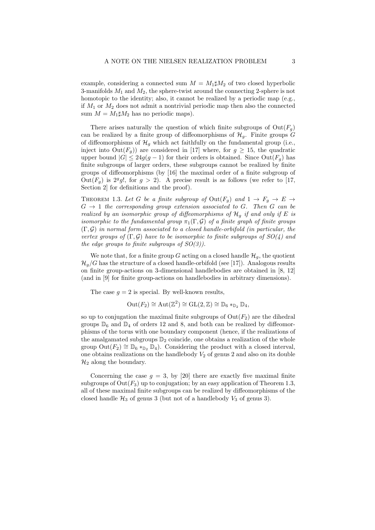example, considering a connected sum  $M = M_1 \sharp M_2$  of two closed hyperbolic 3-manifolds  $M_1$  and  $M_2$ , the sphere-twist around the connecting 2-sphere is not homotopic to the identity; also, it cannot be realized by a periodic map (e.g., if  $M_1$  or  $M_2$  does not admit a nontrivial periodic map then also the connected sum  $M = M_1 \sharp M_2$  has no periodic maps).

There arises naturally the question of which finite subgroups of  $Out(F_q)$ can be realized by a finite group of diffeomorphisms of  $\mathcal{H}_a$ . Finite groups G of diffeomorphisms of  $\mathcal{H}_q$  which act faithfully on the fundamental group (i.e., inject into  $\text{Out}(F_q)$  are considered in [17] where, for  $g \geq 15$ , the quadratic upper bound  $|G| \leq 24g(g-1)$  for their orders is obtained. Since  $Out(F_q)$  has finite subgroups of larger orders, these subgroups cannot be realized by finite groups of diffeomorphisms (by [16] the maximal order of a finite subgroup of Out( $F_g$ ) is 2<sup>g</sup>g!, for  $g > 2$ ). A precise result is as follows (we refer to [17, Section 2] for definitions and the proof).

THEOREM 1.3. Let G be a finite subgroup of  $Out(F_q)$  and  $1 \rightarrow F_q \rightarrow E \rightarrow$  $G \rightarrow 1$  the corresponding group extension associated to G. Then G can be realized by an isomorphic group of diffeomorphisms of  $\mathcal{H}_q$  if and only if E is isomorphic to the fundamental group  $\pi_1(\Gamma, \mathcal{G})$  of a finite graph of finite groups  $(\Gamma, \mathcal{G})$  in normal form associated to a closed handle-orbifold (in particular, the vertex groups of  $(\Gamma, \mathcal{G})$  have to be isomorphic to finite subgroups of  $SO(4)$  and the edge groups to finite subgroups of  $SO(3)$ ).

We note that, for a finite group G acting on a closed handle  $\mathcal{H}_q$ , the quotient  $\mathcal{H}_q/G$  has the structure of a closed handle-orbifold (see [17]). Analogous results on finite group-actions on 3-dimensional handlebodies are obtained in [8, 12] (and in [9] for finite group-actions on handlebodies in arbitrary dimensions).

The case  $g = 2$  is special. By well-known results,

$$
\mathrm{Out}(F_2) \cong \mathrm{Aut}(\mathbb{Z}^2) \cong \mathrm{GL}(2,\mathbb{Z}) \cong \mathbb{D}_6 *_{\mathbb{D}_2} \mathbb{D}_4,
$$

so up to conjugation the maximal finite subgroups of  $Out(F_2)$  are the dihedral groups  $\mathbb{D}_6$  and  $\mathbb{D}_4$  of orders 12 and 8, and both can be realized by diffeomorphisms of the torus with one boundary component (hence, if the realizations of the amalgamated subgroups  $\mathbb{D}_2$  coincide, one obtains a realization of the whole group  $Out(F_2) \cong \mathbb{D}_6 *_{\mathbb{D}_2} \mathbb{D}_4$ . Considering the product with a closed interval, one obtains realizations on the handlebody  $V_2$  of genus 2 and also on its double  $\mathcal{H}_2$  along the boundary.

Concerning the case  $q = 3$ , by [20] there are exactly five maximal finite subgroups of  $Out(F_3)$  up to conjugation; by an easy application of Theorem 1.3, all of these maximal finite subgroups can be realized by diffeomorphisms of the closed handle  $\mathcal{H}_3$  of genus 3 (but not of a handlebody  $V_3$  of genus 3).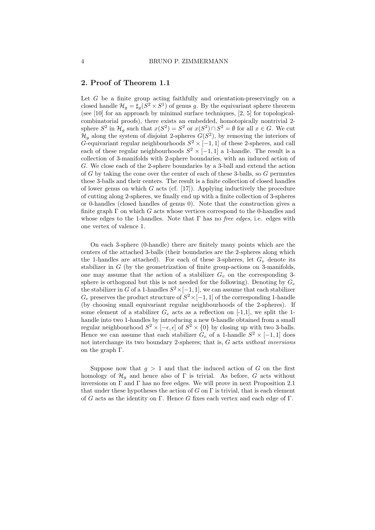## 2. Proof of Theorem 1.1

Let  $G$  be a finite group acting faithfully and orientation-preservingly on a closed handle  $\mathcal{H}_g = \sharp_g (S^2 \times S^1)$  of genus g. By the equivariant sphere theorem (see [10] for an approach by minimal surface techniques, [2, 5] for topologicalcombinatorial proofs), there exists an embedded, homotopically nontrivial 2 sphere  $S^2$  in  $\mathcal{H}_g$  such that  $x(S^2) = S^2$  or  $x(S^2) \cap S^2 = \emptyset$  for all  $x \in G$ . We cut  $\mathcal{H}_g$  along the system of disjoint 2-spheres  $G(S^2)$ , by removing the interiors of G-equivariant regular neighbourhoods  $S^2 \times [-1,1]$  of these 2-spheres, and call each of these regular neighbourhoods  $S^2 \times [-1,1]$  a 1-handle. The result is a collection of 3-manifolds with 2-sphere boundaries, with an induced action of G. We close each of the 2-sphere boundaries by a 3-ball and extend the action of G by taking the cone over the center of each of these 3-balls, so G permutes these 3-balls and their centers. The result is a finite collection of closed handles of lower genus on which  $G$  acts (cf. [17]). Applying inductively the procedure of cutting along 2-spheres, we finally end up with a finite collection of 3-spheres or 0-handles (closed handles of genus 0). Note that the construction gives a finite graph  $\Gamma$  on which G acts whose vertices correspond to the 0-handles and whose edges to the 1-handles. Note that  $\Gamma$  has no *free edges*, i.e. edges with one vertex of valence 1.

On each 3-sphere (0-handle) there are finitely many points which are the centers of the attached 3-balls (their boundaries are the 2-spheres along which the 1-handles are attached). For each of these 3-spheres, let  $G_v$  denote its stabilizer in  $G$  (by the geometrization of finite group-actions on 3-manifolds, one may assume that the action of a stabilizer  $G<sub>v</sub>$  on the corresponding 3sphere is orthogonal but this is not needed for the following). Denoting by  $G_e$ the stabilizer in G of a 1-handles  $S^2 \times [-1,1]$ , we can assume that each stabilizer  $G_e$  preserves the product structure of  $S^2 \times [-1,1]$  of the corresponding 1-handle (by choosing small equivariant regular neighbourhoods of the 2-spheres). If some element of a stabilizer  $G_e$  acts as a reflection on [-1,1], we split the 1handle into two 1-handles by introducing a new 0-handle obtained from a small regular neighbourhood  $S^2 \times [-\epsilon, \epsilon]$  of  $S^2 \times \{0\}$  by closing up with two 3-balls. Hence we can assume that each stabilizer  $G_e$  of a 1-handle  $S^2 \times [-1,1]$  does not interchange its two boundary 2-spheres; that is, G acts without inversions on the graph Γ.

Suppose now that  $g > 1$  and that the induced action of G on the first homology of  $\mathcal{H}_q$  and hence also of Γ is trivial. As before, G acts without inversions on  $\Gamma$  and  $\Gamma$  has no free edges. We will prove in next Proposition 2.1 that under these hypotheses the action of  $G$  on  $\Gamma$  is trivial, that is each element of G acts as the identity on Γ. Hence G fixes each vertex and each edge of Γ.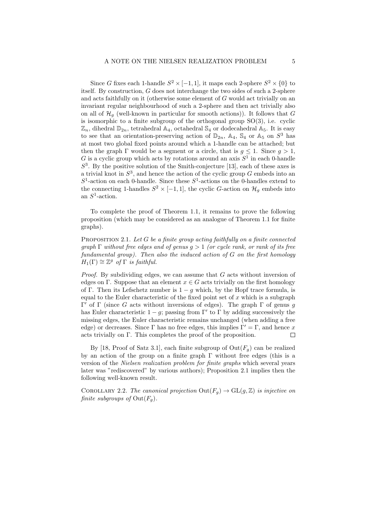Since G fixes each 1-handle  $S^2 \times [-1,1]$ , it maps each 2-sphere  $S^2 \times \{0\}$  to itself. By construction, G does not interchange the two sides of such a 2-sphere and acts faithfully on it (otherwise some element of G would act trivially on an invariant regular neighbourhood of such a 2-sphere and then act trivially also on all of  $\mathcal{H}_q$  (well-known in particular for smooth actions)). It follows that G is isomorphic to a finite subgroup of the orthogonal group  $SO(3)$ , i.e. cyclic  $\mathbb{Z}_n$ , dihedral  $\mathbb{D}_{2n}$ , tetrahedral  $\mathbb{A}_4$ , octahedral  $\mathbb{S}_4$  or dodecahedral  $\mathbb{A}_5$ . It is easy to see that an orientation-preserving action of  $\mathbb{D}_{2n}$ ,  $\mathbb{A}_4$ ,  $\mathbb{S}_4$  or  $\mathbb{A}_5$  on  $S^3$  has at most two global fixed points around which a 1-handle can be attached; but then the graph  $\Gamma$  would be a segment or a circle, that is  $g \leq 1$ . Since  $g > 1$ , G is a cyclic group which acts by rotations around an axis  $S^1$  in each 0-handle  $S<sup>3</sup>$ . By the positive solution of the Smith-conjecture [13], each of these axes is a trivial knot in  $S^3$ , and hence the action of the cyclic group G embeds into an  $S<sup>1</sup>$ -action on each 0-handle. Since these  $S<sup>1</sup>$ -actions on the 0-handles extend to the connecting 1-handles  $S^2 \times [-1,1]$ , the cyclic G-action on  $\mathcal{H}_g$  embeds into an  $S^1$ -action.

To complete the proof of Theorem 1.1, it remains to prove the following proposition (which may be considered as an analogue of Theorem 1.1 for finite graphs).

PROPOSITION 2.1. Let  $G$  be a finite group acting faithfully on a finite connected  $graph \Gamma$  without free edges and of genus  $q > 1$  (or cycle rank, or rank of its free fundamental group). Then also the induced action of G on the first homology  $H_1(\Gamma) \cong \mathbb{Z}^g$  of  $\Gamma$  is faithful.

*Proof.* By subdividing edges, we can assume that  $G$  acts without inversion of edges on Γ. Suppose that an element  $x \in G$  acts trivially on the first homology of Γ. Then its Lefschetz number is  $1 - g$  which, by the Hopf trace formula, is equal to the Euler characteristic of the fixed point set of  $x$  which is a subgraph  $Γ'$  of Γ (since G acts without inversions of edges). The graph Γ of genus g has Euler characteristic  $1 - g$ ; passing from Γ' to Γ by adding successively the missing edges, the Euler characteristic remains unchanged (when adding a free edge) or decreases. Since Γ has no free edges, this implies  $\Gamma' = \Gamma$ , and hence x acts trivially on Γ. This completes the proof of the proposition. П

By [18, Proof of Satz 3.1], each finite subgroup of  $Out(F_q)$  can be realized by an action of the group on a finite graph  $\Gamma$  without free edges (this is a version of the Nielsen realization problem for finite graphs which several years later was "rediscovered" by various authors); Proposition 2.1 implies then the following well-known result.

COROLLARY 2.2. The canonical projection  $Out(F_q) \to GL(q, \mathbb{Z})$  is injective on finite subgroups of  $Out(F_a)$ .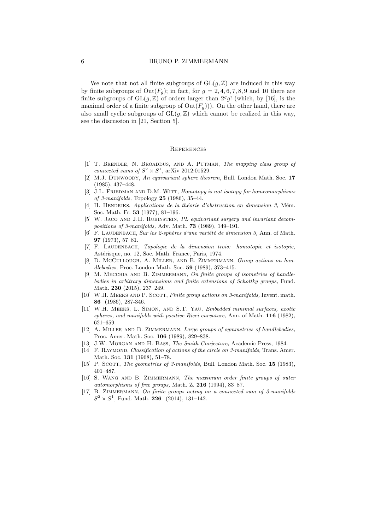We note that not all finite subgroups of  $GL(g, \mathbb{Z})$  are induced in this way by finite subgroups of  $Out(F_q)$ ; in fact, for  $g = 2, 4, 6, 7, 8, 9$  and 10 there are finite subgroups of  $GL(g, \mathbb{Z})$  of orders larger than  $2^gg!$  (which, by [16], is the maximal order of a finite subgroup of  $Out(F_g))$ ). On the other hand, there are also small cyclic subgroups of  $GL(q, \mathbb{Z})$  which cannot be realized in this way, see the discussion in [21, Section 5].

### **REFERENCES**

- [1] T. Brendle, N. Broaddus, and A. Putman, The mapping class group of connected sums of  $S^2 \times S^1$ , arXiv 2012:01529.
- [2] M.J. Dunwoody, An equivariant sphere theorem, Bull. London Math. Soc. 17 (1985), 437–448.
- [3] J.L. FRIEDMAN AND D.M. WITT, Homotopy is not isotopy for homeomorphisms of 3-manifolds, Topology  $25$  (1986), 35-44.
- $[4]$  H. HENDRIKS, Applications de la théorie d'obstruction en dimension 3, Mém. Soc. Math. Fr. 53 (1977), 81–196.
- [5] W. JACO AND J.H. RUBINSTEIN, PL equivariant surgery and invariant decompositions of 3-manifolds, Adv. Math. 73 (1989), 149–191.
- [6] F. LAUDENBACH, Sur les 2-sphères d'une variété de dimension 3, Ann. of Math. 97 (1973), 57–81.
- [7] F. LAUDENBACH, Topologie de la dimension trois: homotopie et isotopie, Astérisque, no. 12, Soc. Math. France, Paris, 1974.
- [8] D. McCullough, A. Miller, and B. Zimmermann, Group actions on handlebodies, Proc. London Math. Soc. 59 (1989), 373–415.
- [9] M. MECCHIA AND B. ZIMMERMANN, On finite groups of isometries of handlebodies in arbitrary dimensions and finite extensions of Schottky groups, Fund. Math. 230 (2015), 237–249.
- [10] W.H. MEEKS AND P. SCOTT, *Finite group actions on 3-manifolds*, Invent. math. 86 (1986), 287-346.
- [11] W.H. Meeks, L. Simon, and S.T. Yau, Embedded minimal surfaces, exotic spheres, and manifolds with positive Ricci curvature, Ann. of Math. 116 (1982), 621–659.
- [12] A. Miller and B. Zimmermann, Large groups of symmetries of handlebodies, Proc. Amer. Math. Soc. 106 (1989), 829–838.
- [13] J.W. Morgan and H. Bass, The Smith Conjecture, Academic Press, 1984.
- [14] F. RAYMOND, Classification of actions of the circle on 3-manifolds, Trans. Amer. Math. Soc. 131 (1968), 51–78.
- [15] P. SCOTT, The geometries of 3-manifolds, Bull. London Math. Soc. 15 (1983), 401–487.
- [16] S. Wang and B. Zimmermann, The maximum order finite groups of outer automorphisms of free groups, Math. Z. 216 (1994), 83–87.
- [17] B. ZIMMERMANN, On finite groups acting on a connected sum of 3-manifolds  $S^2 \times S^1$ , Fund. Math. **226** (2014), 131-142.